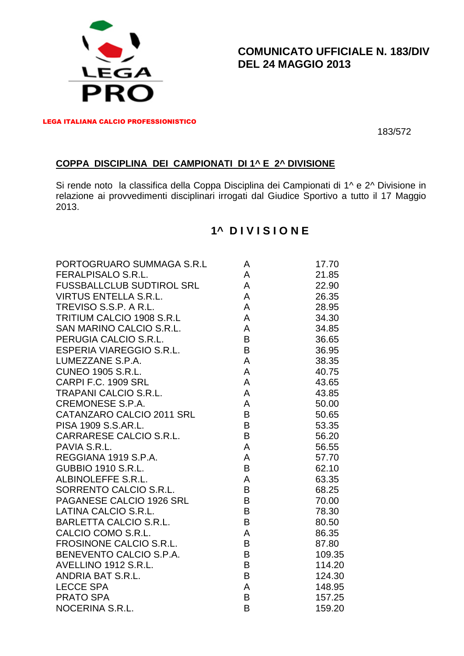

## **COMUNICATO UFFICIALE N. 183/DIV DEL 24 MAGGIO 2013**

LEGA ITALIANA CALCIO PROFESSIONISTICO

183/572

#### **COPPA DISCIPLINA DEI CAMPIONATI DI 1^ E 2^ DIVISIONE**

Si rende noto la classifica della Coppa Disciplina dei Campionati di 1^ e 2^ Divisione in relazione ai provvedimenti disciplinari irrogati dal Giudice Sportivo a tutto il 17 Maggio 2013.

## **1^ D I V I S I O N E**

| PORTOGRUARO SUMMAGA S.R.L                                                                                                                              | A            | 17.70  |
|--------------------------------------------------------------------------------------------------------------------------------------------------------|--------------|--------|
| FERALPISALO S.R.L.                                                                                                                                     | A            | 21.85  |
| FUSSBALLCLUB SUDTIROL SRL<br>NORTHALLCLUB SUDTIROL SRL                                                                                                 | A            | 22.90  |
| VIRTUS ENTELLA S.R.L.<br>TREVISO S.S.P. A R.L.<br>TRITIUM CALCIO 1908 S.R.L<br>SAN MARINO CALCIO S.R.L.<br>PERUGIA CALCIO S.P.L.                       | A            | 26.35  |
|                                                                                                                                                        | A            | 28.95  |
|                                                                                                                                                        | A            | 34.30  |
|                                                                                                                                                        | $\mathsf{A}$ | 34.85  |
| ייזי איזייט אויט S.K.L.<br>ESPERIA VIAREGGIO S.R.L.<br>LUMEZZANE S.P.A                                                                                 | B            | 36.65  |
|                                                                                                                                                        | B            | 36.95  |
|                                                                                                                                                        | A            | 38.35  |
|                                                                                                                                                        | A            | 40.75  |
|                                                                                                                                                        | A            | 43.65  |
| FENDOM<br>ESPERIA VIAREGGIO S.R.L.<br>LUMEZZANE S.P.A.<br>CUNEO 1905 S.R.L.<br>CARPI F.C. 1909 SRL<br>TRAPANI CALCIO S.R.L.                            | A            | 43.85  |
|                                                                                                                                                        | A            | 50.00  |
| CATANZARO CALCIO 2011 SRL                                                                                                                              | B            | 50.65  |
| CARRARESE CALCIO S.R.L.<br>PAVIA S.R.L.                                                                                                                | B            | 53.35  |
|                                                                                                                                                        | B            | 56.20  |
| PAVIA S.R.L.<br>PAVIA S.R.L.<br>REGGIANA 1919 S.P.A.<br>GUBBIO 1910 S.R.L.<br>ALBINOLEFFE S.R.L.<br>SORRENTO CALCIO S.R.L.<br>PAGANESE CALCIO 1926 SRL | A            | 56.55  |
|                                                                                                                                                        | A            | 57.70  |
|                                                                                                                                                        | B            | 62.10  |
|                                                                                                                                                        | A            | 63.35  |
|                                                                                                                                                        | B            | 68.25  |
|                                                                                                                                                        | B            | 70.00  |
|                                                                                                                                                        | B            | 78.30  |
| LATINA CALCIO S.R.L.<br>BARLETTA CALCIO S.R.L.<br>CALCIO COMO S.R.L.                                                                                   | B            | 80.50  |
| CALCIO COMO S.R.L.                                                                                                                                     | A            | 86.35  |
| CALCIO COMO S.R.L.<br>FROSINONE CALCIO S.R.L.                                                                                                          | B            | 87.80  |
| BENEVENTO CALCIO S.P.A.                                                                                                                                | B            | 109.35 |
|                                                                                                                                                        | B            | 114.20 |
|                                                                                                                                                        | B            | 124.30 |
|                                                                                                                                                        | A            | 148.95 |
| AVELLINO 1912 S.R.L.<br>ANDRIA BAT S.R.L.<br>LECCE SPA<br>PRATO SPA<br>NOCERINA S.R.L.                                                                 | B            | 157.25 |
|                                                                                                                                                        | B            | 159.20 |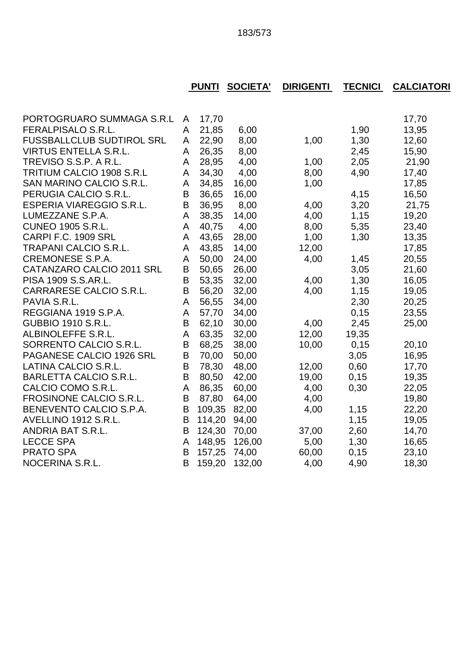183/573

|                               |              | <b>PUNTI</b> | <b>SOCIETA'</b> | <b>DIRIGENTI</b> | <b>TECNICI</b> | <b>CALCIATORI</b> |
|-------------------------------|--------------|--------------|-----------------|------------------|----------------|-------------------|
|                               |              |              |                 |                  |                |                   |
| PORTOGRUARO SUMMAGA S.R.L     | A            | 17,70        |                 |                  |                | 17,70             |
| FERALPISALO S.R.L.            | A            | 21,85        | 6,00            |                  | 1,90           | 13,95             |
| FUSSBALLCLUB SUDTIROL SRL     | $\mathsf{A}$ | 22,90        | 8,00            | 1,00             | 1,30           | 12,60             |
| VIRTUS ENTELLA S.R.L.         | A            | 26,35        | 8,00            |                  | 2,45           | 15,90             |
| TREVISO S.S.P. A R.L.         | A            | 28,95        | 4,00            | 1,00             | 2,05           | 21,90             |
| TRITIUM CALCIO 1908 S.R.L     | A            | 34,30        | 4,00            | 8,00             | 4,90           | 17,40             |
| SAN MARINO CALCIO S.R.L.      | Α            | 34,85        | 16,00           | 1,00             |                | 17,85             |
| PERUGIA CALCIO S.R.L.         | B            | 36,65        | 16,00           |                  | 4,15           | 16,50             |
| ESPERIA VIAREGGIO S.R.L.      | B            | 36,95        | 8,00            | 4,00             | 3,20           | 21,75             |
| LUMEZZANE S.P.A.              | A            | 38,35        | 14,00           | 4,00             | 1,15           | 19,20             |
| <b>CUNEO 1905 S.R.L.</b>      | A            | 40,75        | 4,00            | 8,00             | 5,35           | 23,40             |
| CARPI F.C. 1909 SRL           | A            | 43,65        | 28,00           | 1,00             | 1,30           | 13,35             |
| TRAPANI CALCIO S.R.L.         | A            | 43,85        | 14,00           | 12,00            |                | 17,85             |
| <b>CREMONESE S.P.A.</b>       | A            | 50,00        | 24,00           | 4,00             | 1,45           | 20,55             |
| CATANZARO CALCIO 2011 SRL     | B            | 50,65        | 26,00           |                  | 3,05           | 21,60             |
| PISA 1909 S.S.AR.L.           | B            | 53,35        | 32,00           | 4,00             | 1,30           | 16,05             |
| CARRARESE CALCIO S.R.L.       | B            | 56,20        | 32,00           | 4,00             | 1,15           | 19,05             |
| PAVIA S.R.L.                  | A            | 56,55        | 34,00           |                  | 2,30           | 20,25             |
| REGGIANA 1919 S.P.A.          | A            | 57,70        | 34,00           |                  | 0,15           | 23,55             |
| <b>GUBBIO 1910 S.R.L.</b>     | B            | 62,10        | 30,00           | 4,00             | 2,45           | 25,00             |
| ALBINOLEFFE S.R.L.            | A            | 63,35        | 32,00           | 12,00            | 19,35          |                   |
| SORRENTO CALCIO S.R.L.        | $\sf B$      | 68,25        | 38,00           | 10,00            | 0,15           | 20,10             |
| PAGANESE CALCIO 1926 SRL      | B            | 70,00        | 50,00           |                  | 3,05           | 16,95             |
| LATINA CALCIO S.R.L.          | $\sf B$      | 78,30        | 48,00           | 12,00            | 0,60           | 17,70             |
| <b>BARLETTA CALCIO S.R.L.</b> | $\sf B$      | 80,50        | 42,00           | 19,00            | 0,15           | 19,35             |
| CALCIO COMO S.R.L.            | A            | 86,35        | 60,00           | 4,00             | 0,30           | 22,05             |
| FROSINONE CALCIO S.R.L.       | B            | 87,80        | 64,00           | 4,00             |                | 19,80             |
| BENEVENTO CALCIO S.P.A.       | $\mathsf B$  | 109,35       | 82,00           | 4,00             | 1,15           | 22,20             |
| AVELLINO 1912 S.R.L.          | $\sf B$      | 114,20       | 94,00           |                  | 1,15           | 19,05             |
| ANDRIA BAT S.R.L.             | B            | 124,30       | 70,00           | 37,00            | 2,60           | 14,70             |
| <b>LECCE SPA</b>              | A            | 148,95       | 126,00          | 5,00             | 1,30           | 16,65             |
| <b>PRATO SPA</b>              | B            | 157,25       | 74,00           | 60,00            | 0,15           | 23,10             |
| NOCERINA S.R.L.               | B            | 159,20       | 132,00          | 4,00             | 4,90           | 18,30             |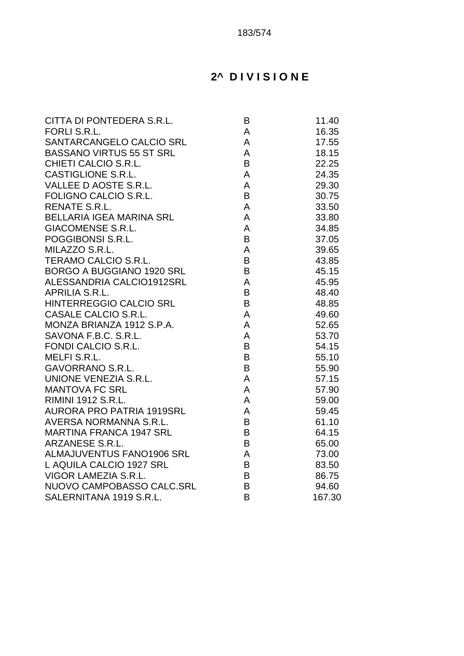### 183/574

# **2^ D I V I S I O N E**

| CITTA DI PONTEDERA S.R.L.                                                                                                                                           | B              | 11.40  |
|---------------------------------------------------------------------------------------------------------------------------------------------------------------------|----------------|--------|
| <b>FORLI S.R.L.</b>                                                                                                                                                 | $\mathsf{A}$   | 16.35  |
| SANTARCANGELO CALCIO SRL                                                                                                                                            | A              | 17.55  |
| BASSANO VIRTUS 33 C.<br>CHIETI CALCIO S.R.L.<br>CASTIGLIONE S.R.L.<br>VALLEE D AOSTE S.R.L.                                                                         | $\mathsf{A}$   | 18.15  |
|                                                                                                                                                                     | B              | 22.25  |
|                                                                                                                                                                     | A              | 24.35  |
|                                                                                                                                                                     | A              | 29.30  |
|                                                                                                                                                                     | B              | 30.75  |
| <b>RENATE S.R.L.</b>                                                                                                                                                | $\mathsf{A}$   | 33.50  |
| RENATE S.K.L.<br>BELLARIA IGEA MARINA SRL                                                                                                                           | A              | 33.80  |
| <b>GIACOMENSE S.R.L.</b>                                                                                                                                            | A              | 34.85  |
|                                                                                                                                                                     | B              | 37.05  |
|                                                                                                                                                                     | A              | 39.65  |
| GIACOMENSE S.R.L.<br>POGGIBONSI S.R.L.<br>MILAZZO S.R.L.<br>TERAMO CALCIO S.R.L.<br>BORGO A BUGGIANO 1920 SRL                                                       | B              | 43.85  |
|                                                                                                                                                                     | B              | 45.15  |
| ALESSANDRIA CALCIO1912SRL                                                                                                                                           | $\mathsf{A}$   | 45.95  |
| APRILIA S.R.L.                                                                                                                                                      | B              | 48.40  |
| HINTERREGGIO CALCIO SRL                                                                                                                                             | B              | 48.85  |
| CASALE CALCIO S.R.L.                                                                                                                                                | A              | 49.60  |
| CASALL -<br>MONZA BRIANZA 1912 S.P.A.<br>SAVONA F.B.C. S.R.L.<br>FONDI CALCIO S.R.L.<br>MELFI S.R.L.<br>GAVORRANO S.R.L.<br>UNIONE VENEZIA S.R.L.<br>MANTOVA FC SRL | A              | 52.65  |
|                                                                                                                                                                     | A              | 53.70  |
|                                                                                                                                                                     | B              | 54.15  |
|                                                                                                                                                                     | B              | 55.10  |
|                                                                                                                                                                     | B              | 55.90  |
|                                                                                                                                                                     | A              | 57.15  |
|                                                                                                                                                                     | $\mathsf{A}$   | 57.90  |
| <b>RIMINI 1912 S.R.L.</b>                                                                                                                                           | A              | 59.00  |
| AURORA PRO PATRIA 1919SRL                                                                                                                                           | $\mathsf{A}$   | 59.45  |
| AVERSA NORMANNA S.R.L.                                                                                                                                              | $\overline{B}$ | 61.10  |
| MARTINA FRANCA 1947 SRL                                                                                                                                             |                | 64.15  |
| ARZANESE S.R.L.                                                                                                                                                     | $\overline{B}$ | 65.00  |
| ALMAJUVENTUS FANO1906 SRL                                                                                                                                           | A              | 73.00  |
| L AQUILA CALCIO 1927 SRL                                                                                                                                            | B              | 83.50  |
| VIGOR LAMEZIA S.R.L.                                                                                                                                                | B              | 86.75  |
| NUOVO CAMPOBASSO CALC.SRL                                                                                                                                           | B              | 94.60  |
| SALERNITANA 1919 S.R.L.                                                                                                                                             | B              | 167.30 |